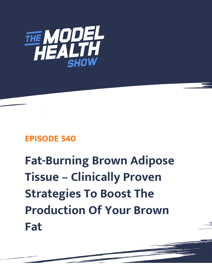

## **EPISODE 540**

## **Fat-Burning Brown Adipose Tissue – Clinically Proven Strategies To Boost The Production Of Your Brown Fat**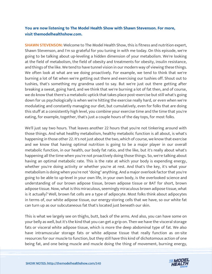## **You are now listening to The Model Health Show with Shawn Stevenson. For more, visit themodelhealthshow.com.**

**SHAWN STEVENSON:** Welcome to The Model Health Show, this is fitness and nutrition expert, Shawn Stevenson, and I'm so grateful for you tuning in with me today. On this episode, we're going to be talking about up-leveling a hidden dimension of your metabolism. We're looking at the field of metabolism, the field of obesity and treatments for obesity, insulin resistance, and things of the like. We tend to have tunnel vision in our modern way of viewing these things. We often look at what are we doing proactively. For example, we tend to think that we're burning a lot of fat when we're getting out there and exercising our tushies off. Shout out to tushies, that's something my grandma used to say. But we're just out there getting after breaking a sweat, going hard, and we think that we're burning a lot of fat then, and of course, we do know that there's a metabolic uptick that takes place post-exercise but still what's going down for us psychologically is when we're hitting the exercise really hard, or even when we're modulating and constantly managing our diet, but cumulatively, even for folks that are doing this stuff at a consistently high level, you combine your exercise time and the time that you're eating, for example, together, that's just a couple hours of the day tops, for most folks.

We'll just say two hours. That leaves another 22 hours that you're not tinkering around with those things. And what healthy metabolism, healthy metabolic function is all about, is what's happening in those other 22. It's not just about the two, which of course, we know that exercise and we know that having optimal nutrition is going to be a major player in our overall metabolic function, in our health, our body fat ratio, and the like, but it's really about what's happening all the time when you're not proactively doing those things. So, we're talking about having an optimal metabolic rate. This is the rate at which your body is expending energy, whether you're doing activity or whether you're at rest. And that's the key, it's what your metabolism is doing when you're not "doing" anything. And a major overlook factor that you're going to be able to up-level in your own life, in your own body, is the overlooked science and understanding of our brown adipose tissue, brown adipose tissue or BAT for short, brown adipose tissue. Now, what is this miraculous, seemingly miraculous brown adipose tissue, what is it actually? Well, brown fat cells are a type of adipocyte. Most folks think about adipocytes in terms of, our white adipose tissue, our energy-storing cells that we have, so our white fat can turn up as our subcutaneous fat that's located just beneath our skin.

This is what we largely see on thighs, butt, back of the arms. And also, you can have some on your belly as well, but it's the kind that you can get a grip on. Then we have the visceral storage fats or visceral white adipose tissue, which is more the deep abdominal type of fat. We also have intramuscular storage fats or white adipose tissue that really function as on-site resources for our muscle to function, but they still have this kind of dichotomous action of one being fat, and one being muscle and muscle doing the thing of movement, burning energy,

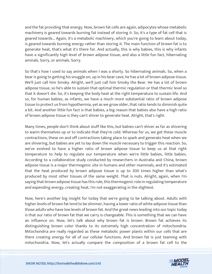and the fat providing that energy. Now, brown fat cells are again, adipocytes whose metabolic machinery is geared towards burning fat instead of storing it. So, it's a type of fat cell that is geared towards... Again, it's a metabolic machinery, which you're going to learn about today, is geared towards burning energy rather than storing it. The main function of brown fat is to generate heat, that's what it's there for. And actually, this is why babies, this is why infants have a significantly high level of brown adipose tissue, and also a little fun fact, hibernating aminals. Sorry, or animals. Sorry.

So that's how I used to say animals when I was a shorty. So hibernating animals. So, when a bear is going to getting his snuggle on, up in his bear cave, he has a lot of brown adipose tissue. We'll just call him Smoky. Alright, we'll just call him Smoky the Bear. He has a lot of brown adipose tissue, so he's able to sustain that optimal thermic regulation or that thermic level so that it doesn't die. So, it's keeping the body heat at the right temperature to sustain life. And so, for human babies, as infants, we have a much more substantial ratio of brown adipose tissue to protect us from hypothermia, yet as we grow older, that ratio tends to diminish quite a bit. And another little fun fact is that babies, a big reason that babies also have a high ratio of brown adipose tissue is they can't shiver to generate heat. Alright, that's right.

Many times, people don't think about stuff like this, but babies can't shiver as far as shivering to warm themselves up or to indicate that they're cold. Whereas for us, we get these muscle contractions, these on and off contractions taking place to spark and generate heat when we are shivering, but babies are yet to lay down the muscle necessary to trigger this reaction. So, we've evolved to have a higher ratio of brown adipose tissue to keep us at that right temperature to help to regulate our temperature when we're little babies, little babies. According to a collaborative study conducted by researchers in Australia and China, brown adipose tissue is a major thermogenic site in humans and other mammals, and it's estimated that the heat produced by brown adipose tissue is up to 300 times higher than what's produced by most other tissues of the same weight. That is nuts. Alright, again, when I'm saying that brown adipose tissue has this role, this thermogenic role in regulating temperature and expending energy, creating heat, I'm not exaggerating in the slightest.

Now, here's another big insight for today that we're going to be talking about. Adults with higher levels of brown fat tend to be slimmer, having a lower ratio of white adipose tissue than those adults who have low levels of brown fat. And the great news leading into our topic today is that our ratio of brown fat that we carry is changeable. This is something that we can have an influence on. Now, let's talk about why brown fat is brown. Brown fat achieves its distinguishing brown color thanks to its extremely high concentration of mitochondria. Mitochondria are really regarded as these metabolic power plants within our cells that are there creating energy for all of our cellular functions. And brown fat is just teaming with mitochondria. Now, let's actually compare the composition of a brown fat cell to the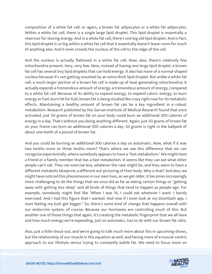composition of a white fat cell, or again, a brown fat adipocytes or a white fat adipocytes. Within a white fat cell, there is a single large lipid droplet. This lipid droplet is essentially a reservoir for storing energy. And in a white fat cell, there's one big old lipid droplet. And in fact, this lipid droplet is so big within a white fat cell that it essentially doesn't leave room for much of anything else. And it even crowds the nucleus of the cell to the edge of the cell.

And the nucleus is actually flattened in a white fat cell. Now, also, there's relatively few mitochondria present. Very, very few. Now, instead of having one large lipid droplet, a brown fat cell has several tiny lipid droplets that can hold energy. It also has more of a normal-shaped nucleus because it's not getting smushed by an extra thick lipid droplet. But unlike a white fat cell, a much larger portion of a brown fat cell is made up of heat-generating mitochondria. It actually expends a tremendous amount of energy, a tremendous amount of energy, compared to a white fat cell. Because of its ability to expend energy, to expend caloric energy, to burn energy or fuel, burn fat for fuel, brown fat is being studied like crazy right now for its metabolic effects. Maintaining a healthy amount of brown fat can be a key ingredient in a robust metabolism. Research published by the Garvan Institute of Medical Research found that once activated, just 50 grams of brown fat on your body could burn an additional 300 calories of energy in a day. That's without you doing anything different. Again, just 50 grams of brown fat on your frame can burn an additional 300 calories a day. 50 grams is right in the ballpark of about one-tenth of a pound of brown fat.

And you could be burning an additional 300 calories a day on automatic. Now, what if it was two tenths more or three tenths more? That's where we see this difference that we can recognize experientially, where somebody appears to have a "fast metabolism." We might have a friend or a family member that has a fast metabolism. It seems like they can eat what other people can't eat. They can exercise less, whatever the case might be, and they seem to have a different metabolic blueprint, a different out-picturing of their body. Why is that? And also, we might have noticed this phenomenon in our own lives, as we get older, it becomes increasingly more challenging to do the things that we once did as far as eating certain things or "getting away with getting less sleep" and all kinds of things that tend to happen as people age. For example, somebody might feel like "When I was 16, I could eat whatever I want. I barely exercised. And I had this figure that I wanted. And now if I even look at my DoorDash app, I start feeling my butt get bigger." So, there's some kind of change that happens overall with our endocrine system, of course. Because our hormones are controlling much of this. But another one of those things that again, it's creating the metabolic fingerprint that we all have and how much energy we're expending, just on automatic, has to do with our brown fat ratio.

Also, just a little shout-out, and we're going to talk much more about this in upcoming shows, but the relationship of our muscle in this equation as well, and having more of a muscle-centric approach to our lifestyle versus trying to constantly battle fat. We need to focus more on

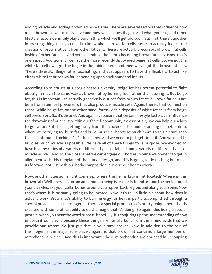adding muscle and adding brown adipose tissue. There are several factors that influence how much brown fat we actually have and how well it does its job. And what you eat, and other lifestyle factors definitely play a part in this, which we'll get too soon. But first, there's another interesting thing that you need to know about brown fat cells. You can actually induce the creation of brown fat cells from other fat cells. There are actually precursors of brown fat cells inside of other fat cells. And you can induce them into becoming brown fat cells. Now, that's one aspect. Additionally, we have the more recently discovered beige fat cells. So, we got the white fat cells, we got the beige in the middle here, and then we've got the brown fat cells. There's diversity. Beige fat is fascinating, in that it appears to have the flexibility to act like either white fat or brown fat, depending upon environmental inputs.

According to scientists at Georgia State University, beige fat has potent potential to fight obesity in much the same way as brown fat by burning fuel rather than storing it. But beige fat, this is important, it's actually genetically distinct from brown fat cells. Brown fat cells are born from stem cell precursors that also produce muscle cells. Again, there's that connection there. While beige fat, on the other hand, forms within deposits of white fat cells from beige cell precursors. So, it's distinct. And again, it appears that certain lifestyle factors can influence the "browning of our cells" within our fat cell community. So essentially, we can help ourselves to get a tan. But this is getting away from the cookie-cutter understanding of metabolism, where we're trying to "burn fat and build muscle." There's so much more to this picture than this dichotomous thinking. Fat's the enemy. And we need to just get rid of it. And we need to build as much muscle as possible. We have all of these things for a purpose. We evolved to have healthy ratios of a variety of different types of fat cells and a variety of different types of muscle as well. And so, the closer that we can engage our bodies in our environment to get in alignment with this template of the human design, and this is going to do nothing but move us forward, not just with our body composition, but also our health overall.

Now, another question might come up, where the hell is brown fat located? Where is this brown fat? Well, brown fat on an adult human being is primarily found around the neck, around your clavicles, aka your collar bones, around your upper back region, and along your spine. Now that's where it is primarily going to be located. Now, let's talk a little bit about how does it actually work. Brown fat's ability to burn energy for heat is partly accomplished through a special protein called thermogenin. There's a special protein that's pretty unique here that is credited with some of its ability to do the magic that it's doing. So again, this being a special protein, when you hear the word protein, hopefully, it's conjuring up the understanding of how important our diet is because these things are literally built from the amino acids that we provide our system. So just put that in your back pocket. Now, in addition to the role of thermogenin, the major role player, again, is that brown fat contains a large number of mitochondria, which... And this is important. These mitochondria are enriched in uncoupling

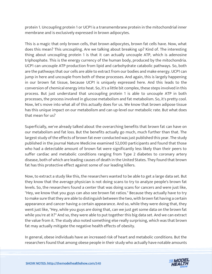protein 1. Uncoupling protein 1 or UCP1 is a transmembrane protein in the mitochondrial inner membrane and is exclusively expressed in brown adipocytes.

This is a magic that only brown cells, that brown adipocytes, brown fat cells have. Now, what does this mean? This uncoupling. Are we talking about breaking up? Kind of. The interesting thing about uncoupling protein 1 is that it can actually uncouple ATP, which is adenosine triphosphate. This is the energy currency of the human body, produced by the mitochondria. UCP1 can uncouple ATP production from lipid and carbohydrate catabolic pathways. So, both are the pathways that our cells are able to extract from our bodies and make energy. UCP1 can jump in here and uncouple from both of these processes. And again, this is largely happening in our brown fat tissue, because UCP1 is uniquely expressed here. And this leads to the conversion of chemical energy into heat. So, it's a little bit complex, these steps involved in this process. But just understand that uncoupling protein 1 is able to uncouple ATP in both processes, the process involved in glucose metabolism and fat metabolism. So, it's pretty cool. Now, let's move into what all of this actually does for us. We know that brown adipose tissue has this unique impact on our metabolism and can up-level our metabolic rate. But what does that mean for us?

Superficially, we've already talked about the overarching benefits that brown fat can have on our metabolism and fat loss. But the benefits actually go much, much further than that. The largest study of the effects of brown fat ever conducted was just published this year. The study published in the journal Nature Medicine examined 52,000 participants and found that those who had a detectable amount of brown fat were significantly less likely than their peers to suffer cardiac and metabolic conditions ranging from Type 2 diabetes to coronary artery disease, both of which are leading causes of death in the United States. They found that brown fat has this protective effect against some of our leading killers.

Now, to extract a study like this, the researchers wanted to be able to get a large data set. But they know that the average physician is not doing scans to try to analyze people's brown fat levels. So, the researchers found a center that was doing scans for cancers and were just like, "Hey, we know that you guys can also see brown fat ratios." Because they actually have to try to make sure that they are able to distinguish between the two, with brown fat having a certain appearance and cancer having a certain appearance. And so, while they were doing that, they went just like, "Hey, while you guys are doing that, can we just get some data on the brown fat while you're at it?" And so, they were able to put together this big data set. And we can extract the value from it. The study also noted something else really surprising, which was that brown fat may actually mitigate the negative health effects of obesity.

In general, obese individuals have an increased risk of heart and metabolic conditions. But the researchers found that among obese people in their study who actually have notable amounts

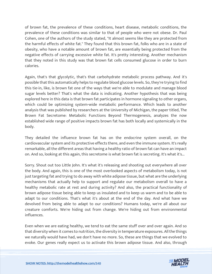of brown fat, the prevalence of these conditions, heart disease, metabolic conditions, the prevalence of these conditions was similar to that of people who were not obese. Dr. Paul Cohen, one of the authors of the study stated, "It almost seems like they are protected from the harmful effects of white fat." They found that this brown fat, folks who are in a state of obesity, who have a notable amount of brown fat, are essentially being protected from the negative effects of carrying excessive white fat. It's pretty interesting. Another mechanism that they noted in this study was that brown fat cells consumed glucose in order to burn calories.

Again, that's that glycolytic, that's that carbohydrate metabolic process pathway. And it's possible that this automatically helps to regulate blood glucose levels. So, they're trying to find this tie-in, like, is brown fat one of the ways that we're able to modulate and manage blood sugar levels better? That's what the data is indicating. Another hypothesis that was being explored here in this data is that brown fat participates in hormone signaling to other organs, which could be optimizing system-wide metabolic performance. Which leads to another analysis that was published by researchers at the University of Michigan, the paper titled, The Brown Fat Secretome: Metabolic Functions Beyond Thermogenesis, analyzes the now established wide range of positive impacts brown fat has both locally and systemically in the body.

They detailed the influence brown fat has on the endocrine system overall, on the cardiovascular system and its protective effects there, and even the immune system. It's really remarkable, all the different areas that having a healthy ratio of brown fat can have an impact on. And so, looking at this again, this secretome is what brown fat is secreting. It's what it's...

Sorry. Shout out too Little John. It's what it's releasing and shooting out everywhere all over the body. And again, this is one of the most overlooked aspects of metabolism today, is not just targeting fat and trying to do away with white adipose tissue, but what are the underlying mechanisms that actually help to support and regulate our metabolism overall to have a healthy metabolic rate at rest and during activity? And also, the practical functionality of brown adipose tissue being able to keep us insulated and to keep us warm and to be able to adapt to our conditions. That's what it's about at the end of the day. And what have we devolved from being able to adapt to our conditions? Humans today, we're all about our creature comforts. We're hiding out from change. We're hiding out from environmental influences.

Even when we are eating healthy, we tend to eat the same stuff over and over again. And so that diversity when it comes to nutrition, the diversity in temperature exposures. All the things we naturally would have had, we don't have no more. So, these are things that we evolved to evoke. Our genes really expect us to activate this brown adipose tissue. And also, through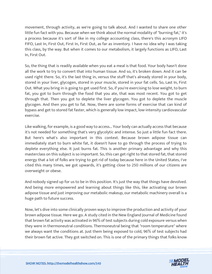movement, through activity, as we're going to talk about. And I wanted to share one other little fun fact with you. Because when we think about the normal modality of "burning fat," it's a process because it's sort of like in my college accounting class, there's this acronym LIFO FIFO, Last In, First Out, First In, First Out, as far as inventory. I have no idea why I was taking this class, by the way. But when it comes to our metabolism, it largely functions as LIFO, Last In, First Out.

So, the thing that is readily available when you eat a meal is that food. Your body hasn't done all the work to try to convert that into human tissue. And so, it's broken down. And it can be used right there. So, it's the last thing in, versus the stuff that's already stored in your body, stored in your liver, glycogen, stored in your muscle, stored in your fat cells. So, Last In, First Out. What you bring in is going to get used first. So, if you're exercising to lose weight, to burn fat, you got to burn through the food that you ate, that was most recent. You got to get through that. Then you got to deplete the liver glycogen. You got to deplete the muscle glycogen. And then you get to fat. Now, there are some forms of exercise that can kind of bypass and get to stored fat faster, which is generally low impact, low-intensity cardiovascular exercise.

Like walking, for example, is a good way to access... Your body can actually access that because it's not needed for something that's very glycolytic and intense. So just a little fun fact there. But here's what's also important in this context. Because brown adipose tissue can immediately start to burn white fat, it doesn't have to go through the process of trying to deplete everything else. It just burns fat. This is another primary advantage and why this masterclass on this subject is so important. So, this can get right to that stored fat, that stored energy that a lot of folks are trying to get rid of today because here in the United States, I've cited this many times, we got upwards, it's getting close to 250 millions of our citizens are overweight or obese.

And nobody signed up for us to be in this position. It's just the way that things have devolved. And being more empowered and learning about things like this, like activating our brown adipose tissue and just improving our metabolic makeup, our metabolic machinery overall is a huge path to future success.

Now, let's dive into some clinically proven ways to improve the production and activity of your brown adipose tissue. Here we go. A study cited in the New England Journal of Medicine found that brown fat activity was activated in 96% of test subjects during cold exposure versus when they were in thermoneutral conditions. Thermoneutral being that "room temperature" where we always want the conditions at. Just them being exposed to cold, 96% of test subjects had their brown fat active. They got switched on. This is one of the primary things that folks know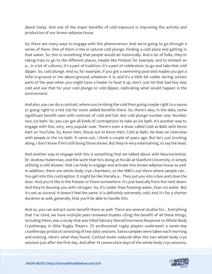about today. And one of the major benefits of cold exposure is improving the activity and production of our brown adipose tissue.

So, there are many ways to engage with this phenomenon. And we're going to go through a series of them. One of them is the el natural cold plunge. Finding a cold place and getting in that water. So, this is something that people would do historically. And a lot of folks, they're taking trips to go to the different places, maybe like Finland, for example, and to embark on a... In a lot of cultures, it's a part of tradition, it's a part of celebration, to go and take that cold dipper. So, cold plunge. And so, for example, if you got a swimming pool and maybe you got a little in-ground or the above-ground, whatever it is, and it's a little bit colder during certain parts of the year when you might have a heater to heat it up, don't. Just let that bad boy stay cold and use that for your cold plunge or cold dipper, replicating what would happen in the environment.

And also, you can do a contrast, where you're doing the cold then going maybe right to a sauna or going right to a hot tub for some added benefits there. So, there's also, in the data, some significant benefit seen with contrast of cold and hot. But cold plunge number one. Number two, ice bath. So, you can get all kinds of contraptions to take an ice bath. It's another way to engage with this, very, very popular now. There's even a show called Cold as Balls with Kevin Hart on YouTube. So, Kevin Hart. Shout out to Kevin Hart, Cold as Balls. He does an interview with people in the ice bath. It came out, I think a couple of years ago. But he's just trucking along. I don't know if he's still doing those shows. But they're very entertaining, to say the least.

And another way to engage with this is something that we talked about with Neuroscientist, Dr. Andrew Huberman, and the work that he's doing at his lab at Stanford University, in simply utilizing a cold shower, that can help to engage and activate this brown adipose tissue as well. In addition, there are whole body cryo chambers, so the WBCs out there where people can... You get into this contraption. It might be like literally a... They put you into a box and close the door. And you're like in the freezer or there somewhere. It's just basically from the neck down. And they're dousing you with nitrogen. So, it's colder than freezing water, than ice water. But it's not as visceral. It doesn't feel the same. It is definitely extremely cold. And it's for a shorter duration as well, generally, that you'll be able to handle this.

And so, you can extract some benefit there as well. There are several studies for... Everything that I've cited, we have multiple peer-reviewed studies citing the benefit of all these things, including there, was a study that was titled Salivary Steroid Hormone Response to Whole-Body Cryotherapy in Elite Rugby Players. 25 professional rugby players underwent a seven-day cryotherapy protocol consisting of two daily sessions. Saliva samples were taken each morning and evening. Here's what they found. Cortisol levels reduced after the two whole-body cryo sessions just after the first day. And after 14 consecutive days of the whole body cryo sessions,

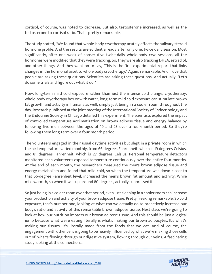cortisol, of course, was noted to decrease. But also, testosterone increased, as well as the testosterone to cortisol ratio. That's pretty remarkable.

The study stated, "We found that whole-body cryotherapy acutely affects the salivary steroid hormone profile. And the results are evident already after only one, twice daily session. Most significantly, after one week of consecutive twice-daily whole-body cryo sessions, all the hormones were modified that they were tracking. So, they were also tracking DHEA, estradiol, and other things. And they went on to say, "This is the first experimental report that links changes in the hormonal asset to whole body cryotherapy." Again, remarkable. And I love that people are asking these questions. Scientists are asking these questions. And actually, "Let's do some trials and figure out what it do."

Now, long-term mild cold exposure rather than just the intense cold plunge, cryotherapy, whole-body cryotherapy box or with water, long-term mild cold exposure can stimulate brown fat growth and activity in humans as well, simply just being in a cooler room throughout the day. Research published at the joint meeting of the International Society of Endocrinology and the Endocrine Society in Chicago detailed this experiment. The scientists explored the impact of controlled temperature acclimatization on brown adipose tissue and energy balance by following five men between the ages of 19 and 23 over a four-month period. So they're following them long-term over a four-month period.

The volunteers engaged in their usual daytime activities but slept in a private room in which the air temperature varied monthly, from 66 degrees Fahrenheit, which is 19 degrees Celsius, and 81 degrees Fahrenheit, which is 27 degrees Celsius. Personal temperature detectors monitored each volunteer's exposed temperature continuously over the entire four months. At the end of each month, the researchers measured the men's brown adipose tissue and energy metabolism and found that mild cold, so when the temperature was down closer to that 66-degree Fahrenheit level, increased the men's brown fat amount and activity. While mild warmth, so when it was up around 80 degrees, actually suppressed it.

So just being in a colder room over that period, even just sleeping in a cooler room can increase your production and activity of your brown adipose tissue. Pretty freaking remarkable. So cold exposure, that's number one, looking at what can we actually do to proactively increase our body's ratio and activity of this remarkable brown adipose tissue. Next step, we're going to look at how our nutrition impacts our brown adipose tissue. And this should be just a logical jump because what we're eating literally is what's making our brown adipocytes. It's what's making our tissues. It's literally made from the foods that we eat. And of course, the engagement with other cells is going to be heavily influenced by what we're making those cells out of, what's flowing through our digestive system, flowing through our veins. A fascinating study looking at the connection...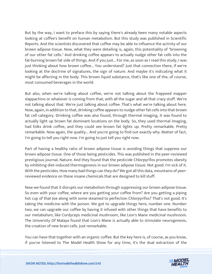But by the way, I want to preface this by saying there's already been many notable aspects looking at coffee's benefit on human metabolism. But this study was published in Scientific Reports. And the scientists discovered that coffee may be able to influence the activity of our brown adipose tissue. Now, what they were detailing is, again, this potentiality of "browning of our other fat cells." And drinking coffee appears to actually nudge other fat cells into the fat-burning brown fat side of things. And if you just... For me, as soon as I read this study, I was just thinking about how brown coffee... You understand? Just that connection there, if we're looking at the doctrine of signatures, the sign of nature. And maybe it's indicating what it might be affecting in the body. This brown liquid substance, that's like one of the, of course, most consumed beverages in the world.

But also, when we're talking about coffee, we're not talking about the frappeed mapper slappachino or whatever is coming from that, with all the sugar and all that crazy stuff. We're not talking about that. We're just talking about coffee. That's what we're talking about here. Now, again, in addition to that, drinking coffee appears to nudge other fat cells into that brown fat cell category. Drinking coffee was also found, through thermal imaging, it was found to actually light up brown fat dominant locations on the body. So, they used thermal imaging, had folks drink coffee, and they could see brown fat lights up. Pretty remarkable. Pretty remarkable. Now again, the quality... And you're going to find out exactly why. Matter of fact, I'm going to tell you right now. I'm going to just tell you right now.

Part of having a healthy ratio of brown adipose tissue is avoiding things that suppress our brown adipose tissue. One of those being pesticides. This was published in the peer-reviewed prestigious journal, Nature. And they found that the pesticide Chlorpyrifos promotes obesity by inhibiting diet-induced thermogenesis in our brown adipose tissue. Not good. I'm sick of it. With the pesticides. How many bad things can they do? We got all this data, mountains of peerreviewed evidence on these insane chemicals that are designed to kill stuff.

Now we found that it disrupts our metabolism through suppressing our brown adipose tissue. So even with your coffee, where are you getting your coffee from? Are you getting a piping hot cup of that Joe along with some steamed to perfection Chlorpyrifos? That's not good. It's taking the medicine with the poison. We got to upgrade things here, number one. Number two, we can upgrade our coffee by having it infused with other things that have benefits to our metabolism, like Cordyceps medicinal mushroom, like Lion's Mane medicinal mushroom. The University Of Malaya found that Lion's Mane is actually able to stimulate neurogenesis, the creation of new brain cells. Just remarkable.

You can have that together with an organic coffee. But the key here is, of course, as you know, if you've listened to The Model Health Show for any time, it's the dual extraction of the

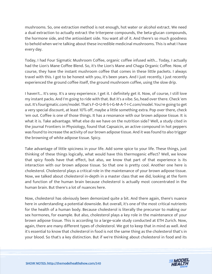mushrooms. So, one extraction method is not enough, hot water or alcohol extract. We need a dual extraction to actually extract the triterpene compounds, the beta-glucan compounds, the hormone side, and the antioxidant side. You want all of it. And there's so much goodness to behold when we're talking about these incredible medicinal mushrooms. This is what I have every day.

Today, I had Four Sigmatic Mushroom Coffee, organic coffee infused with... Today, I actually had the Lion's Mane Coffee Blend. So, it's the Lion's Mane and Chaga Organic Coffee. Now, of course, they have the instant mushroom coffee that comes in these little packets. I always travel with this. I got to be honest with you, it's been years. And I just recently, I just recently experienced the ground coffee itself, the ground mushroom coffee, using the slow drip.

I haven't... It's sexy. It's a sexy experience. I get it. I definitely get it. Now, of course, I still love my instant packs. And I'm going to ride with that. But it's a vibe. So, head over there. Check 'em out. It's fourigmatic.com/model. That's F-O-U-R-S-I-G-M-A-T-I-C.com/model. You're going to get a very special discount, at least 10% off, maybe a little something extra. Pop over there, check 'em out. Coffee is one of those things. It has a resonance with our brown adipose tissue. It is what it is. Take advantage. What else do we have on the nutrition side? Well, a study cited in the journal Frontiers in Physiology, found that Capsaicin, an active compound in hot peppers was found to increase the activity of our brown adipose tissue. And it was found to also trigger the browning of white adipose tissue. Spicy.

Take advantage of little spiciness in your life. Add some spice to your life. These things, just thinking of these things logically, what would have this thermogenic effect? Well, we know that spicy foods have that effect, but also, we know that part of that experience is its interaction with our brown adipose tissue. So that one is pretty cool. Another one here is cholesterol. Cholesterol plays a critical role in the maintenance of your brown adipose tissue. Now, we talked about cholesterol in-depth in a master class that we did, looking at the form and function of the human brain because cholesterol is actually most concentrated in the human brain. But there's a lot of nuances here.

Now, cholesterol has obviously been demonized quite a bit. And there again, there's nuance here in understanding a potential downside. But overall, it's one of the most critical nutrients for the health of a human body. Because cholesterol is literally the precursor to making our sex hormones, for example. But also, cholesterol plays a key role in the maintenance of your brown adipose tissue. This is according to a large-scale study conducted at ETH Zurich. Now, again, there are many different types of cholesterol. We got to keep that in mind as well. And it's essential to know that cholesterol in food is not the same thing as the cholesterol that's in your blood. So that's a key distinction. But if we're thinking about cholesterol in food and its

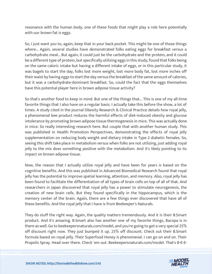resonance with the human body, one of these foods that might play a role here potentially with our brown fat is eggs.

So, I just want you to, again, keep that in your back pocket. This might be one of those things where... Again, several studies have demonstrated folks eating eggs for breakfast versus a carbohydrate meal... But again, it could just be the carbohydrate and the protein, and it could be a different type of protein, but specifically utilizing eggs in this study, found that folks being on the same caloric intake but having a different intake of eggs, or in this particular study, it was bagels to start the day, folks lost more weight, lost more body fat, lost more inches off their waist by having eggs to start the day versus the breakfast of the same amount of calories, but it was a carbohydrate-dominant breakfast. So, could the fact that the eggs themselves have this potential player here in brown adipose tissue activity?

So that's another food to keep in mind. But one of the things that... This is one of my all-time favorite things that I also have on a regular basis. I actually take this before the show, a lot of times. A study cited in the journal Obesity Research & Clinical Practice details how royal jelly, a phenomenal bee product reduces the harmful effects of diet-induced obesity and glucose intolerance by promoting brown adipose tissue thermogenesis in mice. This was actually done in mice. So really interesting research here. But couple that with another human study. This was published in Health Promotion Perspectives, demonstrating the effects of royal jelly supplementation on reducing body weight and dietary intake in Type 2 diabetic females. So, seeing this shift take place in metabolism versus when folks are not utilizing, just adding royal jelly to the mix does something positive with the metabolism. And it's likely pointing to its impact on brown adipose tissue.

Now, the reason that I actually utilize royal jelly and have been for years is based on the cognitive benefits. And this was published in Advanced Biomedical Research found that royal jelly has the potential to improve spatial learning, attention, and memory. Also, royal jelly has been found to facilitate the differentiation of all types of brain cells on top of all of that. And researchers in Japan discovered that royal jelly has a power to stimulate neurogenesis, the creation of new brain cells. But they found specifically in the hippocampus, which is the memory center of the brain. Again, there are a few things ever discovered that have all of these benefits. And the royal jelly that I have is from Beekeeper's Naturals.

They do stuff the right way. Again, the quality matters tremendously. And it is their B.Smart product. And it's amazing. B.Smart also has another one of my favorite things, Bacopa is in there as well. Go to beekeepersnaturals.com/model, and you're going to get a very special 25% off discount right now. They just bumped it up. 25% off discount. Check out their B.Smart formula based on royal jelly. Their Superfood Honey is phenomenal. I can go on and on. Their Propolis Spray. Head over there. Check 'em out. Beekeepersnaturals.com/model. That's B-E-E-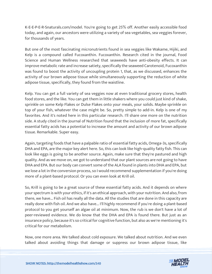K-E-E-P-E-R-Snaturals.com/model. You're going to get 25% off. Another easily accessible food today, and again, our ancestors were utilizing a variety of sea vegetables, sea veggies forever, for thousands of years.

But one of the most fascinating micronutrients found in sea veggies like Wakame, Hijiki, and Kelp is a compound called Fucoxanthin. Fucoxanthin. Research cited in the journal, Food Science and Human Wellness researched that seaweeds have anti-obesity effects. It can improve metabolic rate and increase satiety, specifically the seaweed Carotenoid, Fucoxanthin was found to boost the activity of uncoupling protein 1, that, as we discussed, enhances the activity of our brown adipose tissue while simultaneously supporting the reduction of white adipose tissue, specifically, they found from the waistline.

Kelp. You can get a full variety of sea veggies now at even traditional grocery stores, health food stores, and the like. You can get them in little shakers where you could just kind of shake, sprinkle on some Kelp Flakes or Dulse Flakes onto your meals, your solids. Maybe sprinkle on top of your fish, whatever the case might be. So, pretty simple to add-in. Kelp is one of my favorites. And it's noted here in this particular research. I'll share one more on the nutrition side. A study cited in the Journal of Nutrition found that the inclusion of more fat, specifically essential fatty acids has a potential to increase the amount and activity of our brown adipose tissue. Remarkable. Super easy.

Again, targeting foods that have a palpable ratio of essential fatty acids, Omega-3s, specifically DHA and EPA, are the major key alert here. So, this can look like high-quality fatty fish. This can look like eggs is going to be another source. Again, make sure that they're pastured and high quality. And as we move on, we got to understand that our plant sources are not going to have DHA and EPA. But our body can convert some of the ALA found in plants into DHA and EPA, but we lose a lot in the conversion process, so I would recommend supplementation if you're doing more of a plant-based protocol. Or you can even look at Krill oil.

So, Krill is going to be a great source of these essential fatty acids. And it depends on where your spectrum is with your ethics, if it's an ethical approach, with your nutrition. And also, from there, we have... Fish oil has really all the data. All the studies that are done in this capacity are really done with fish oil. And we also have... I'll highly recommend if you're doing a plant-based protocol to you get yourself an algae oil at minimum. Now, the rub is we don't have a lot of peer-reviewed evidence. We do know that the DHA and EPA is found there. But just as an insurance policy, because it's so critical for cognitive function, but also as we're mentioning it's critical for our metabolism.

Now, one more area. We talked about cold exposure. We talked about nutrition. And we even talked about avoiding things that damage or suppress our brown adipose tissue, like